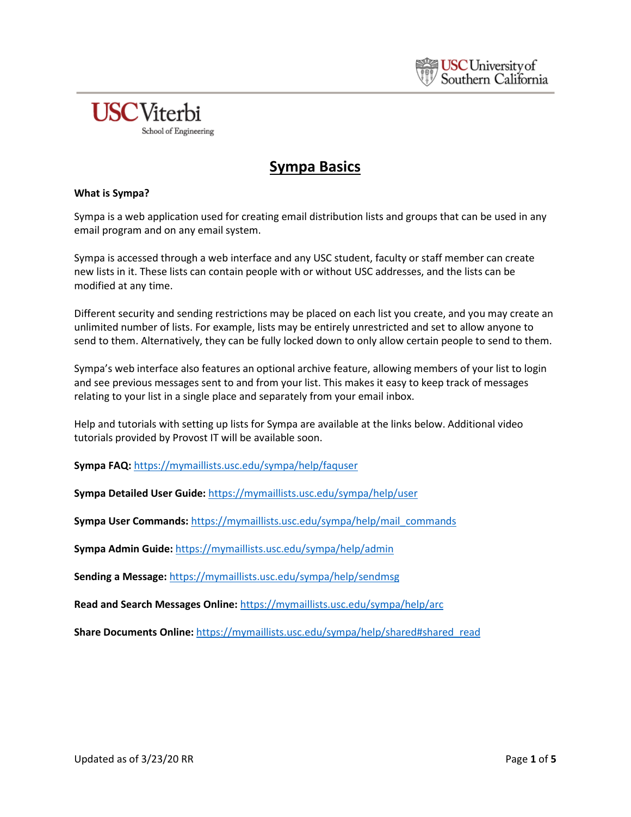

## **Sympa Basics**

#### **What is Sympa?**

Sympa is a web application used for creating email distribution lists and groups that can be used in any email program and on any email system.

Sympa is accessed through a web interface and any USC student, faculty or staff member can create new lists in it. These lists can contain people with or without USC addresses, and the lists can be modified at any time.

Different security and sending restrictions may be placed on each list you create, and you may create an unlimited number of lists. For example, lists may be entirely unrestricted and set to allow anyone to send to them. Alternatively, they can be fully locked down to only allow certain people to send to them.

Sympa's web interface also features an optional archive feature, allowing members of your list to login and see previous messages sent to and from your list. This makes it easy to keep track of messages relating to your list in a single place and separately from your email inbox.

Help and tutorials with setting up lists for Sympa are available at the links below. Additional video tutorials provided by Provost IT will be available soon.

**Sympa FAQ:** <https://mymaillists.usc.edu/sympa/help/faquser>

**Sympa Detailed User Guide:** <https://mymaillists.usc.edu/sympa/help/user>

**Sympa User Commands:** [https://mymaillists.usc.edu/sympa/help/mail\\_commands](https://mymaillists.usc.edu/sympa/help/mail_commands)

**Sympa Admin Guide:** <https://mymaillists.usc.edu/sympa/help/admin>

**Sending a Message:** <https://mymaillists.usc.edu/sympa/help/sendmsg>

**Read and Search Messages Online:** <https://mymaillists.usc.edu/sympa/help/arc>

**Share Documents Online:** [https://mymaillists.usc.edu/sympa/help/shared#shared\\_read](https://mymaillists.usc.edu/sympa/help/shared#shared_read)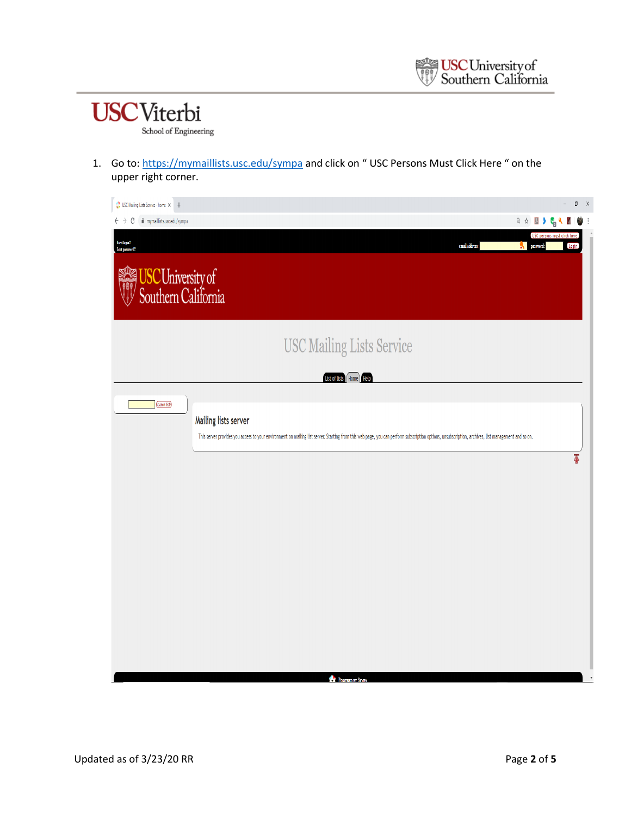# **USC**Viterbi School of Engineering

1. Go to:<https://mymaillists.usc.edu/sympa> and click on "USC Persons Must Click Here " on the upper right corner.

| USC Mailing Lists Service - home X +                                                                                                                                                                                                               |                                  | $-$ 0 $\times$                       |   |
|----------------------------------------------------------------------------------------------------------------------------------------------------------------------------------------------------------------------------------------------------|----------------------------------|--------------------------------------|---|
| ii mymaillists.usc.edu/sympa<br>C<br>$\leftarrow$ $\rightarrow$                                                                                                                                                                                    | <b>Q &amp; A &amp; C &amp; Y</b> | $\frac{1}{2}$                        | ÷ |
| First logia?<br>email address:<br>Lost password?                                                                                                                                                                                                   | <b>We password:</b>              | USC persons must click here<br>Login |   |
| USCUniversity of                                                                                                                                                                                                                                   |                                  |                                      |   |
| <b>USC Mailing Lists Service</b>                                                                                                                                                                                                                   |                                  |                                      |   |
| List of lists Home                                                                                                                                                                                                                                 |                                  |                                      |   |
| <b>Cearch lists</b><br>Mailing lists server<br>This server provides you access to your environment on mailing list server. Starting from this web page, you can perform subscription options, unsubscription, archives, list management and so on. |                                  |                                      |   |
|                                                                                                                                                                                                                                                    |                                  | $\overline{\Phi}$                    |   |
|                                                                                                                                                                                                                                                    |                                  |                                      |   |
|                                                                                                                                                                                                                                                    |                                  |                                      |   |
|                                                                                                                                                                                                                                                    |                                  |                                      |   |
|                                                                                                                                                                                                                                                    |                                  |                                      |   |
|                                                                                                                                                                                                                                                    |                                  |                                      |   |
| POWERED BY SYMPA                                                                                                                                                                                                                                   |                                  |                                      |   |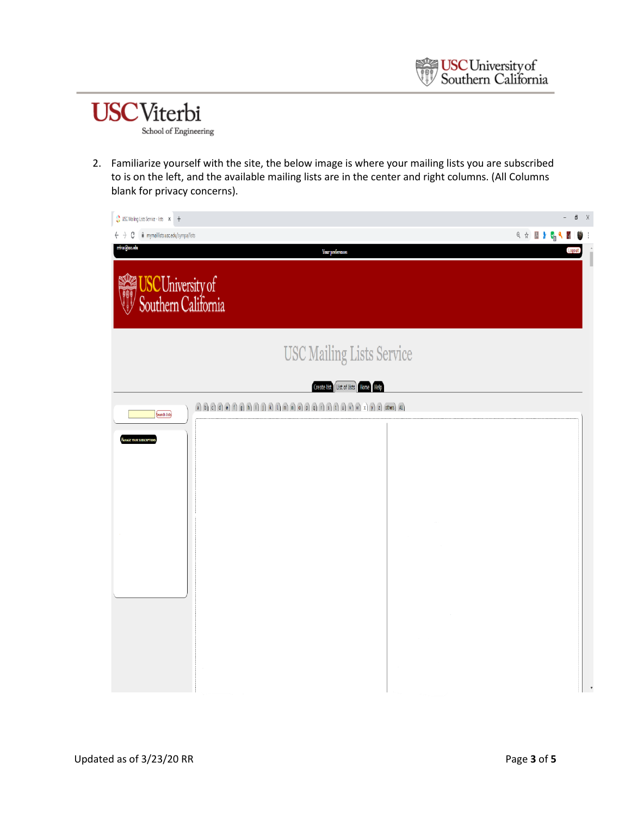

2. Familiarize yourself with the site, the below image is where your mailing lists you are subscribed to is on the left, and the available mailing lists are in the center and right columns. (All Columns blank for privacy concerns).

| USC Mailing Lists Service - lists X +                              |                                                                                                                                                                                                                                                                                                                                                                                                                                                             | $\mathfrak{g}-\chi$<br>$\overline{\phantom{a}}$ |
|--------------------------------------------------------------------|-------------------------------------------------------------------------------------------------------------------------------------------------------------------------------------------------------------------------------------------------------------------------------------------------------------------------------------------------------------------------------------------------------------------------------------------------------------|-------------------------------------------------|
| mymaillists.usc.edu/sympa/lists<br>C<br>$\leftarrow$ $\rightarrow$ |                                                                                                                                                                                                                                                                                                                                                                                                                                                             | <b>Q &amp; E y C &amp; E</b><br>¢               |
| rrivas@usc.edu                                                     | <b>Your preferences</b>                                                                                                                                                                                                                                                                                                                                                                                                                                     | Logout<br>I                                     |
| USCUniversity of                                                   |                                                                                                                                                                                                                                                                                                                                                                                                                                                             |                                                 |
|                                                                    | <b>USC Mailing Lists Service</b>                                                                                                                                                                                                                                                                                                                                                                                                                            |                                                 |
|                                                                    | Create list List of lists Home Help                                                                                                                                                                                                                                                                                                                                                                                                                         |                                                 |
| <b>Cearch lists</b>                                                | $\widehat{a} \widehat{b} \widehat{c} \widehat{d} \widehat{d} \widehat{e} \widehat{f} \widehat{f} \widehat{f} \widehat{f} \widehat{f} \widehat{f} \widehat{f} \widehat{f} \widehat{f} \widehat{f} \widehat{f} \widehat{f} \widehat{f} \widehat{f} \widehat{f} \widehat{f} \widehat{f} \widehat{f} \widehat{f} \widehat{f} \widehat{f} \widehat{f} \widehat{f} \widehat{f} \widehat{f} \widehat{f} \widehat{f} \widehat{f} \widehat{f} \widehat{f} \widehat{$ |                                                 |
| <b>ANAGE YOUR SUBSCRIPTIONS</b>                                    |                                                                                                                                                                                                                                                                                                                                                                                                                                                             |                                                 |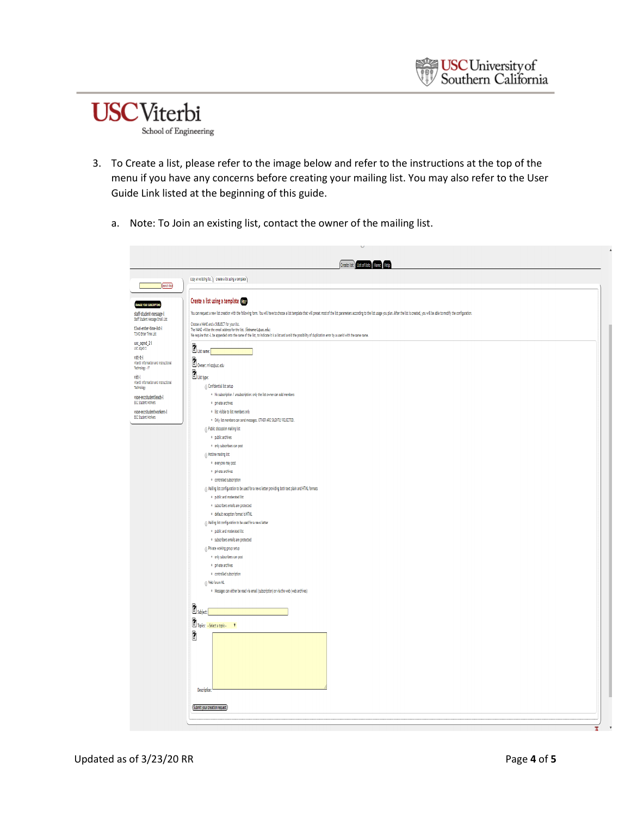

- 3. To Create a list, please refer to the image below and refer to the instructions at the top of the menu if you have any concerns before creating your mailing list. You may also refer to the User Guide Link listed at the beginning of this guide.
	- a. Note: To Join an existing list, contact the owner of the mailing list.

|                                                             | Create list List of lists Home Help                                                                                                                                                                                                                                                                                                                                                                                                                                                     |
|-------------------------------------------------------------|-----------------------------------------------------------------------------------------------------------------------------------------------------------------------------------------------------------------------------------------------------------------------------------------------------------------------------------------------------------------------------------------------------------------------------------------------------------------------------------------|
| <b>Cearch lists</b>                                         | Copy an existing list. \ Create a list using a template \                                                                                                                                                                                                                                                                                                                                                                                                                               |
|                                                             | Create a list using a template that                                                                                                                                                                                                                                                                                                                                                                                                                                                     |
| <b>MANAGE YOUR SUBSCRIPTIONS</b><br>staff-student-message-l | You can request a new list creation with the following form. You will have to choose a list template that will preset most of the list parameters according to the list usage you plan. After the list is created, you will be                                                                                                                                                                                                                                                          |
| Staff Student Message Email List                            | Choose a NAME and a SUBJECT for your list.                                                                                                                                                                                                                                                                                                                                                                                                                                              |
| t2wd-enter-time-list-l<br>T2WD Enter Time List              | The NAME will be the email address for the list. (listname-L@usc.edu)<br>We require that -L be appended onto the name of the list, to indicate it is a list and avoid the possibility of duplication error by a userid with the same name.                                                                                                                                                                                                                                              |
| usc_aqmd_2-l                                                | $2$ List name: $\sqrt{ }$                                                                                                                                                                                                                                                                                                                                                                                                                                                               |
| Viterbi Information and Instructional<br>Technology - IT    | $\sum$ Owner: rrivas@usc.edu                                                                                                                                                                                                                                                                                                                                                                                                                                                            |
|                                                             | $\Box$ List type:                                                                                                                                                                                                                                                                                                                                                                                                                                                                       |
| Viterbi Information and Instructional                       | 6 Confidential list setup                                                                                                                                                                                                                                                                                                                                                                                                                                                               |
|                                                             | . No subscription / unsubscription: only the list owner can add members                                                                                                                                                                                                                                                                                                                                                                                                                 |
| vsoe-eccstudentleads-l<br><b>ECC Student Workers</b>        | · private archives                                                                                                                                                                                                                                                                                                                                                                                                                                                                      |
| vsoe-eccstudentworkers-l                                    | . list visible to list members only                                                                                                                                                                                                                                                                                                                                                                                                                                                     |
| <b>ECC Student Workers</b>                                  | · Only list members can send messages. OTHER ARE SILENTLY REJECTED.                                                                                                                                                                                                                                                                                                                                                                                                                     |
|                                                             | <sup>1</sup> Public discussion mailing list                                                                                                                                                                                                                                                                                                                                                                                                                                             |
|                                                             | · public archives                                                                                                                                                                                                                                                                                                                                                                                                                                                                       |
|                                                             | · only subscribers can post                                                                                                                                                                                                                                                                                                                                                                                                                                                             |
|                                                             | (ii) Hotline mailing list                                                                                                                                                                                                                                                                                                                                                                                                                                                               |
|                                                             | · everyone may post                                                                                                                                                                                                                                                                                                                                                                                                                                                                     |
|                                                             | · private archives                                                                                                                                                                                                                                                                                                                                                                                                                                                                      |
|                                                             | <sup>o</sup> controlled subscription                                                                                                                                                                                                                                                                                                                                                                                                                                                    |
|                                                             | (i) Mailing list configuration to be used for a news letter providing both text plain and HTML formats                                                                                                                                                                                                                                                                                                                                                                                  |
|                                                             | <sup>+</sup> public and moderated list                                                                                                                                                                                                                                                                                                                                                                                                                                                  |
|                                                             | <sup>0</sup> subscribers emails are protected                                                                                                                                                                                                                                                                                                                                                                                                                                           |
|                                                             | · default reception format is HTML                                                                                                                                                                                                                                                                                                                                                                                                                                                      |
|                                                             | (ii) Mailing list configuration to be used for a news letter                                                                                                                                                                                                                                                                                                                                                                                                                            |
|                                                             | · public and moderated list                                                                                                                                                                                                                                                                                                                                                                                                                                                             |
|                                                             | · subscribers emails are protected                                                                                                                                                                                                                                                                                                                                                                                                                                                      |
|                                                             | (ii) Private working group setup                                                                                                                                                                                                                                                                                                                                                                                                                                                        |
|                                                             | · only subscribers can post                                                                                                                                                                                                                                                                                                                                                                                                                                                             |
|                                                             | · private archives                                                                                                                                                                                                                                                                                                                                                                                                                                                                      |
|                                                             | · controlled subscription                                                                                                                                                                                                                                                                                                                                                                                                                                                               |
|                                                             | (ii) Web forum ML                                                                                                                                                                                                                                                                                                                                                                                                                                                                       |
|                                                             | · Messages can either be read via email (subscription) or via the web (web archives)                                                                                                                                                                                                                                                                                                                                                                                                    |
|                                                             |                                                                                                                                                                                                                                                                                                                                                                                                                                                                                         |
|                                                             | <sup>2</sup> subject:                                                                                                                                                                                                                                                                                                                                                                                                                                                                   |
|                                                             | $\begin{tabular}{ c c } \hline \hline \multicolumn{1}{ c }{\textbf{Topic:}} & \multicolumn{1}{ c }{\textbf{Fourier}}\\ \hline \multicolumn{1}{ c }{\textbf{Topic:}} & \multicolumn{1}{ c }{\textbf{Fourier}}\\ \hline \multicolumn{1}{ c }{\textbf{Topic:}} & \multicolumn{1}{ c }{\textbf{Fourier}}\\ \hline \multicolumn{1}{ c }{\textbf{Topic:}} & \multicolumn{1}{ c }{\textbf{Fourier}}\\ \hline \multicolumn{1}{ c }{\textbf{Topic:}} & \multicolumn{1}{ c }{\textbf{Fourier}}\\$ |
|                                                             |                                                                                                                                                                                                                                                                                                                                                                                                                                                                                         |
|                                                             | Î                                                                                                                                                                                                                                                                                                                                                                                                                                                                                       |
|                                                             | Description                                                                                                                                                                                                                                                                                                                                                                                                                                                                             |
|                                                             |                                                                                                                                                                                                                                                                                                                                                                                                                                                                                         |
|                                                             | Submit your creation request                                                                                                                                                                                                                                                                                                                                                                                                                                                            |
|                                                             |                                                                                                                                                                                                                                                                                                                                                                                                                                                                                         |